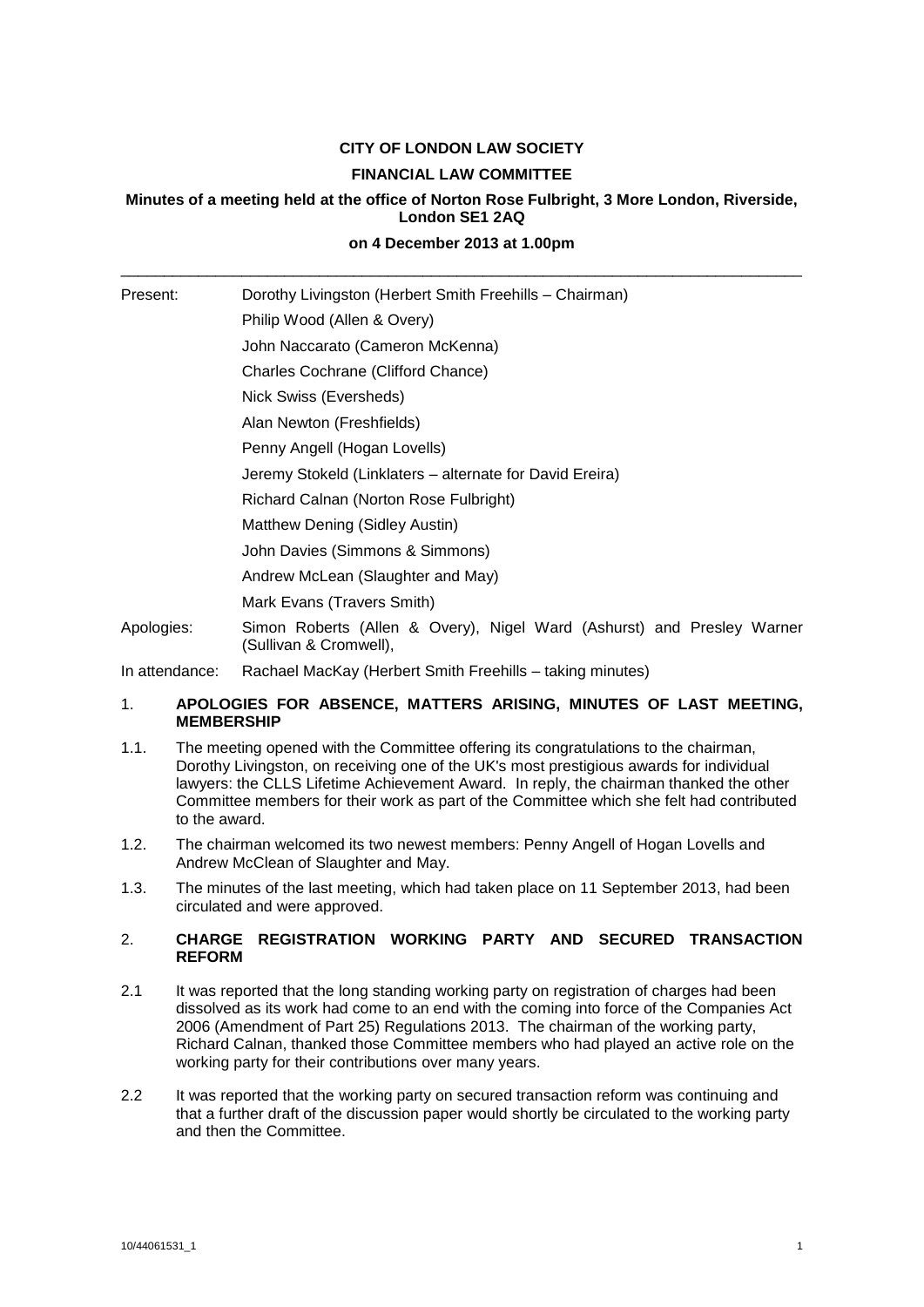# **CITY OF LONDON LAW SOCIETY FINANCIAL LAW COMMITTEE**

# **Minutes of a meeting held at the office of Norton Rose Fulbright, 3 More London, Riverside, London SE1 2AQ**

# **on 4 December 2013 at 1.00pm** \_\_\_\_\_\_\_\_\_\_\_\_\_\_\_\_\_\_\_\_\_\_\_\_\_\_\_\_\_\_\_\_\_\_\_\_\_\_\_\_\_\_\_\_\_\_\_\_\_\_\_\_\_\_\_\_\_\_\_\_\_\_\_\_\_\_\_\_\_\_\_\_\_\_\_\_\_\_\_

| Present:       | Dorothy Livingston (Herbert Smith Freehills - Chairman)                                          |
|----------------|--------------------------------------------------------------------------------------------------|
|                | Philip Wood (Allen & Overy)                                                                      |
|                | John Naccarato (Cameron McKenna)                                                                 |
|                | Charles Cochrane (Clifford Chance)                                                               |
|                | Nick Swiss (Eversheds)                                                                           |
|                | Alan Newton (Freshfields)                                                                        |
|                | Penny Angell (Hogan Lovells)                                                                     |
|                | Jeremy Stokeld (Linklaters – alternate for David Ereira)                                         |
|                | Richard Calnan (Norton Rose Fulbright)                                                           |
|                | Matthew Dening (Sidley Austin)                                                                   |
|                | John Davies (Simmons & Simmons)                                                                  |
|                | Andrew McLean (Slaughter and May)                                                                |
|                | Mark Evans (Travers Smith)                                                                       |
| Apologies:     | Simon Roberts (Allen & Overy), Nigel Ward (Ashurst) and Presley Warner<br>(Sullivan & Cromwell), |
| In attendance: | Rachael MacKay (Herbert Smith Freehills - taking minutes)                                        |

## 1. **APOLOGIES FOR ABSENCE, MATTERS ARISING, MINUTES OF LAST MEETING, MEMBERSHIP**

- 1.1. The meeting opened with the Committee offering its congratulations to the chairman, Dorothy Livingston, on receiving one of the UK's most prestigious awards for individual lawyers: the CLLS Lifetime Achievement Award. In reply, the chairman thanked the other Committee members for their work as part of the Committee which she felt had contributed to the award.
- 1.2. The chairman welcomed its two newest members: Penny Angell of Hogan Lovells and Andrew McClean of Slaughter and May.
- 1.3. The minutes of the last meeting, which had taken place on 11 September 2013, had been circulated and were approved.

## 2. **CHARGE REGISTRATION WORKING PARTY AND SECURED TRANSACTION REFORM**

- 2.1 It was reported that the long standing working party on registration of charges had been dissolved as its work had come to an end with the coming into force of the Companies Act 2006 (Amendment of Part 25) Regulations 2013. The chairman of the working party, Richard Calnan, thanked those Committee members who had played an active role on the working party for their contributions over many years.
- 2.2 It was reported that the working party on secured transaction reform was continuing and that a further draft of the discussion paper would shortly be circulated to the working party and then the Committee.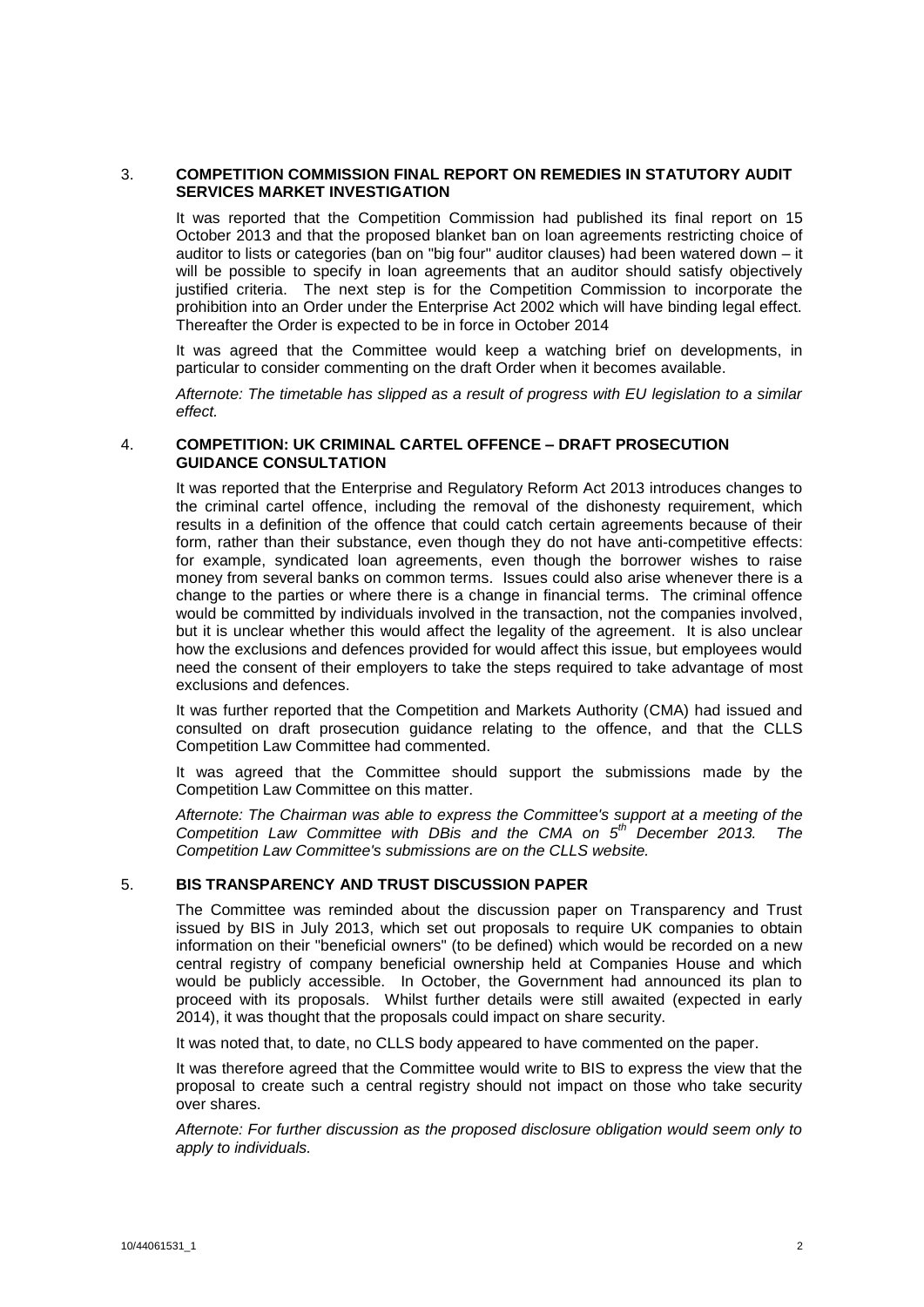## 3. **COMPETITION COMMISSION FINAL REPORT ON REMEDIES IN STATUTORY AUDIT SERVICES MARKET INVESTIGATION**

It was reported that the Competition Commission had published its final report on 15 October 2013 and that the proposed blanket ban on loan agreements restricting choice of auditor to lists or categories (ban on "big four" auditor clauses) had been watered down – it will be possible to specify in loan agreements that an auditor should satisfy objectively justified criteria. The next step is for the Competition Commission to incorporate the prohibition into an Order under the Enterprise Act 2002 which will have binding legal effect. Thereafter the Order is expected to be in force in October 2014

It was agreed that the Committee would keep a watching brief on developments, in particular to consider commenting on the draft Order when it becomes available.

*Afternote: The timetable has slipped as a result of progress with EU legislation to a similar effect.*

### 4. **COMPETITION: UK CRIMINAL CARTEL OFFENCE – DRAFT PROSECUTION GUIDANCE CONSULTATION**

It was reported that the Enterprise and Regulatory Reform Act 2013 introduces changes to the criminal cartel offence, including the removal of the dishonesty requirement, which results in a definition of the offence that could catch certain agreements because of their form, rather than their substance, even though they do not have anti-competitive effects: for example, syndicated loan agreements, even though the borrower wishes to raise money from several banks on common terms. Issues could also arise whenever there is a change to the parties or where there is a change in financial terms. The criminal offence would be committed by individuals involved in the transaction, not the companies involved, but it is unclear whether this would affect the legality of the agreement. It is also unclear how the exclusions and defences provided for would affect this issue, but employees would need the consent of their employers to take the steps required to take advantage of most exclusions and defences.

It was further reported that the Competition and Markets Authority (CMA) had issued and consulted on draft prosecution guidance relating to the offence, and that the CLLS Competition Law Committee had commented.

It was agreed that the Committee should support the submissions made by the Competition Law Committee on this matter.

*Afternote: The Chairman was able to express the Committee's support at a meeting of the Competition Law Committee with DBis and the CMA on 5th December 2013. The Competition Law Committee's submissions are on the CLLS website.*

#### 5. **BIS TRANSPARENCY AND TRUST DISCUSSION PAPER**

The Committee was reminded about the discussion paper on Transparency and Trust issued by BIS in July 2013, which set out proposals to require UK companies to obtain information on their "beneficial owners" (to be defined) which would be recorded on a new central registry of company beneficial ownership held at Companies House and which would be publicly accessible. In October, the Government had announced its plan to proceed with its proposals. Whilst further details were still awaited (expected in early 2014), it was thought that the proposals could impact on share security.

It was noted that, to date, no CLLS body appeared to have commented on the paper.

It was therefore agreed that the Committee would write to BIS to express the view that the proposal to create such a central registry should not impact on those who take security over shares.

*Afternote: For further discussion as the proposed disclosure obligation would seem only to apply to individuals.*